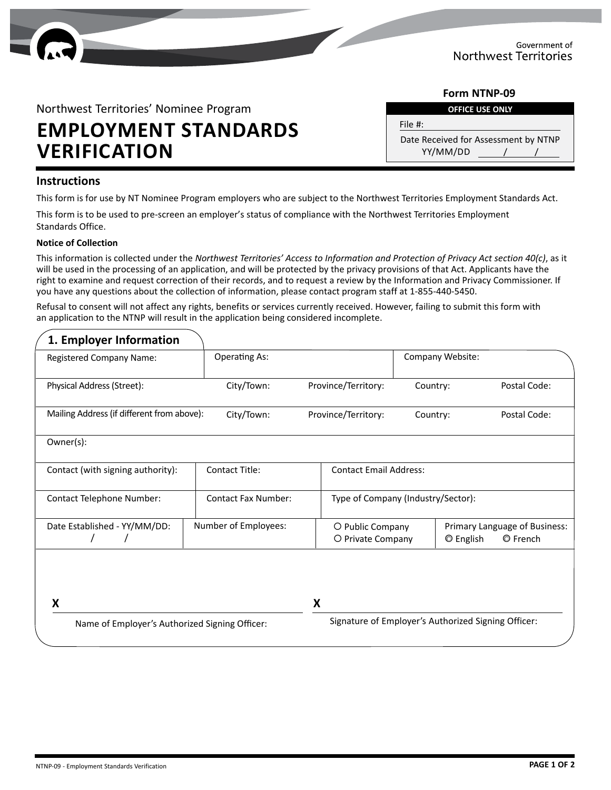

#### **OFFICE USE ONLY Form NTNP-09**

Northwest Territories' Nominee Program

# **EMPLOYMENT STANDARDS VERIFICATION DERIFICATION**

YY/MM/DD File #:

#### **Instructions**

This form is for use by NT Nominee Program employers who are subject to the Northwest Territories Employment Standards Act.

This form is to be used to pre-screen an employer's status of compliance with the Northwest Territories Employment Standards Office.

#### **Notice of Collection**

This information is collected under the *Northwest Territories' Access to Information and Protection of Privacy Act section 40(c)*, as it will be used in the processing of an application, and will be protected by the privacy provisions of that Act. Applicants have the right to examine and request correction of their records, and to request a review by the Information and Privacy Commissioner. If you have any questions about the collection of information, please contact program staff at 1-855-440-5450.

Refusal to consent will not affect any rights, benefits or services currently received. However, failing to submit this form with an application to the NTNP will result in the application being considered incomplete.

| Registered Company Name:                       | <b>Operating As:</b>       |                                                     | Company Website:                   |                                                               |  |
|------------------------------------------------|----------------------------|-----------------------------------------------------|------------------------------------|---------------------------------------------------------------|--|
| Physical Address (Street):                     | City/Town:                 | Province/Territory:                                 | Country:                           | Postal Code:                                                  |  |
| Mailing Address (if different from above):     | City/Town:                 | Province/Territory:                                 | Country:                           | Postal Code:                                                  |  |
| Owner(s):                                      |                            |                                                     |                                    |                                                               |  |
| Contact (with signing authority):              | <b>Contact Title:</b>      |                                                     | <b>Contact Email Address:</b>      |                                                               |  |
| <b>Contact Telephone Number:</b>               | <b>Contact Fax Number:</b> |                                                     | Type of Company (Industry/Sector): |                                                               |  |
| Date Established - YY/MM/DD:                   | Number of Employees:       | O Public Company<br>O Private Company               |                                    | Primary Language of Business:<br>C English<br><b>O</b> French |  |
| x                                              |                            | X                                                   |                                    |                                                               |  |
| Name of Employer's Authorized Signing Officer: |                            | Signature of Employer's Authorized Signing Officer: |                                    |                                                               |  |